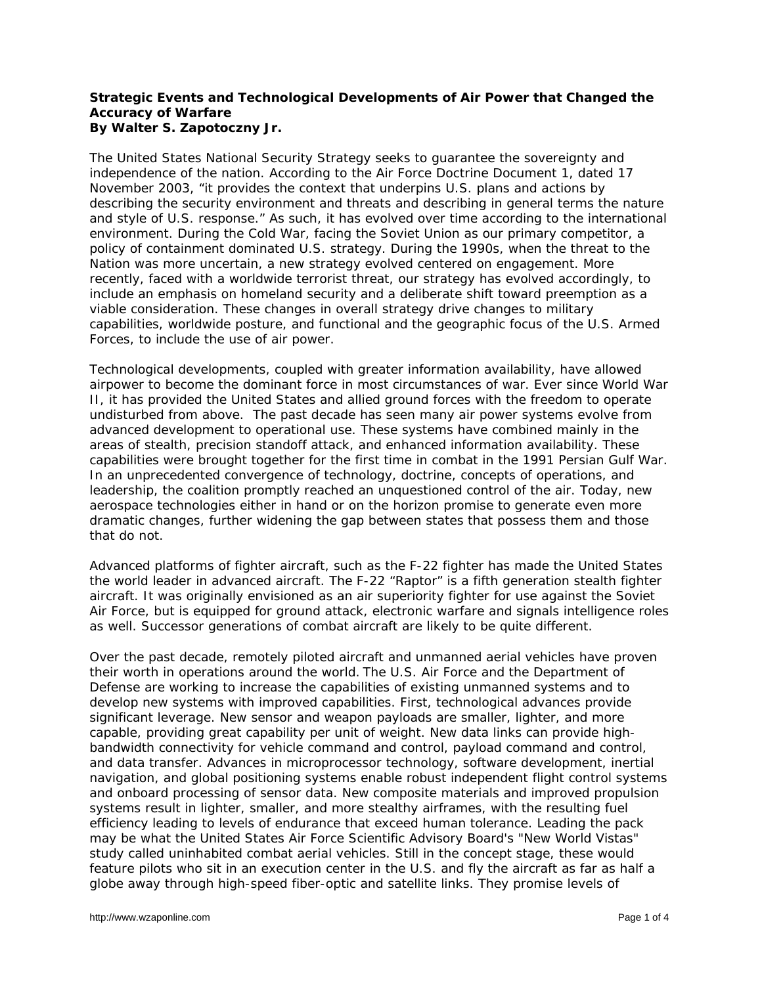## **Strategic Events and Technological Developments of Air Power that Changed the Accuracy of Warfare By Walter S. Zapotoczny Jr.**

The United States National Security Strategy seeks to guarantee the sovereignty and independence of the nation. According to the Air Force Doctrine Document 1, dated 17 November 2003, "it provides the context that underpins U.S. plans and actions by describing the security environment and threats and describing in general terms the nature and style of U.S. response." As such, it has evolved over time according to the international environment. During the Cold War, facing the Soviet Union as our primary competitor, a policy of containment dominated U.S. strategy. During the 1990s, when the threat to the Nation was more uncertain, a new strategy evolved centered on engagement. More recently, faced with a worldwide terrorist threat, our strategy has evolved accordingly, to include an emphasis on homeland security and a deliberate shift toward preemption as a viable consideration. These changes in overall strategy drive changes to military capabilities, worldwide posture, and functional and the geographic focus of the U.S. Armed Forces, to include the use of air power.

Technological developments, coupled with greater information availability, have allowed airpower to become the dominant force in most circumstances of war. Ever since World War II, it has provided the United States and allied ground forces with the freedom to operate undisturbed from above. The past decade has seen many air power systems evolve from advanced development to operational use. These systems have combined mainly in the areas of stealth, precision standoff attack, and enhanced information availability. These capabilities were brought together for the first time in combat in the 1991 Persian Gulf War. In an unprecedented convergence of technology, doctrine, concepts of operations, and leadership, the coalition promptly reached an unquestioned control of the air. Today, new aerospace technologies either in hand or on the horizon promise to generate even more dramatic changes, further widening the gap between states that possess them and those that do not.

Advanced platforms of fighter aircraft, such as the F-22 fighter has made the United States the world leader in advanced aircraft. The F-22 "Raptor" is a fifth generation stealth fighter aircraft. It was originally envisioned as an air superiority fighter for use against the Soviet Air Force, but is equipped for ground attack, electronic warfare and signals intelligence roles as well. Successor generations of combat aircraft are likely to be quite different.

Over the past decade, remotely piloted aircraft and unmanned aerial vehicles have proven their worth in operations around the world. The U.S. Air Force and the Department of Defense are working to increase the capabilities of existing unmanned systems and to develop new systems with improved capabilities. First, technological advances provide significant leverage. New sensor and weapon payloads are smaller, lighter, and more capable, providing great capability per unit of weight. New data links can provide highbandwidth connectivity for vehicle command and control, payload command and control, and data transfer. Advances in microprocessor technology, software development, inertial navigation, and global positioning systems enable robust independent flight control systems and onboard processing of sensor data. New composite materials and improved propulsion systems result in lighter, smaller, and more stealthy airframes, with the resulting fuel efficiency leading to levels of endurance that exceed human tolerance. Leading the pack may be what the United States Air Force Scientific Advisory Board's "New World Vistas" study called uninhabited combat aerial vehicles. Still in the concept stage, these would feature pilots who sit in an execution center in the U.S. and fly the aircraft as far as half a globe away through high-speed fiber-optic and satellite links. They promise levels of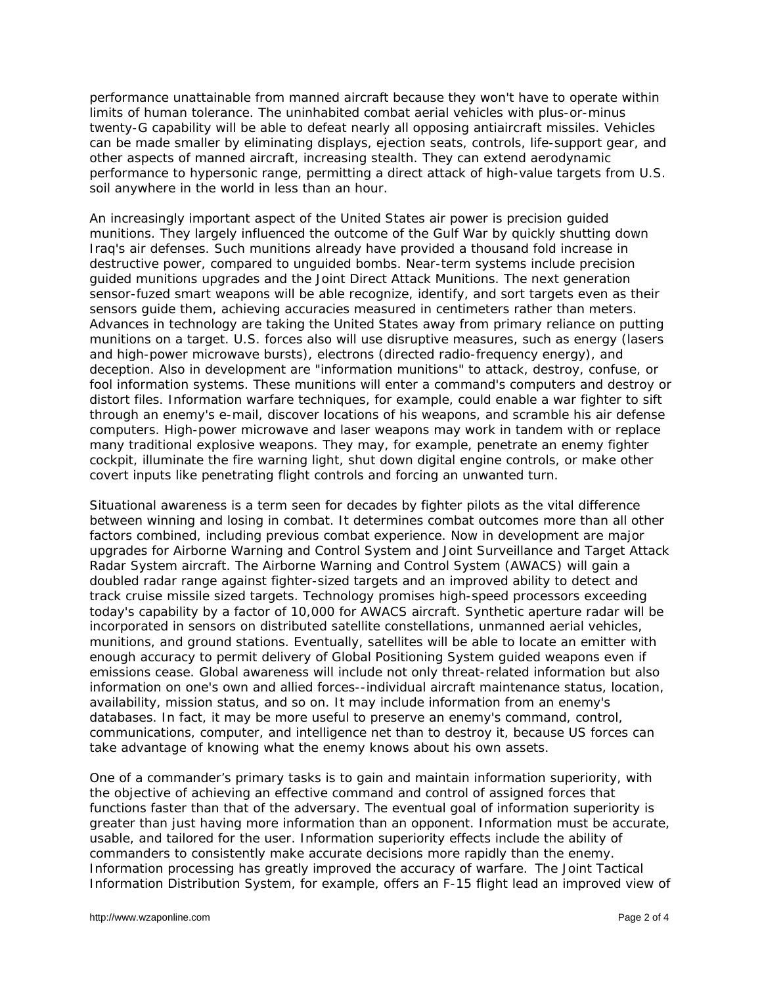performance unattainable from manned aircraft because they won't have to operate within limits of human tolerance. The uninhabited combat aerial vehicles with plus-or-minus twenty-G capability will be able to defeat nearly all opposing antiaircraft missiles. Vehicles can be made smaller by eliminating displays, ejection seats, controls, life-support gear, and other aspects of manned aircraft, increasing stealth. They can extend aerodynamic performance to hypersonic range, permitting a direct attack of high-value targets from U.S. soil anywhere in the world in less than an hour.

An increasingly important aspect of the United States air power is precision guided munitions. They largely influenced the outcome of the Gulf War by quickly shutting down Iraq's air defenses. Such munitions already have provided a thousand fold increase in destructive power, compared to unguided bombs. Near-term systems include precision guided munitions upgrades and the Joint Direct Attack Munitions. The next generation sensor-fuzed smart weapons will be able recognize, identify, and sort targets even as their sensors guide them, achieving accuracies measured in centimeters rather than meters. Advances in technology are taking the United States away from primary reliance on putting munitions on a target. U.S. forces also will use disruptive measures, such as energy (lasers and high-power microwave bursts), electrons (directed radio-frequency energy), and deception. Also in development are "information munitions" to attack, destroy, confuse, or fool information systems. These munitions will enter a command's computers and destroy or distort files. Information warfare techniques, for example, could enable a war fighter to sift through an enemy's e-mail, discover locations of his weapons, and scramble his air defense computers. High-power microwave and laser weapons may work in tandem with or replace many traditional explosive weapons. They may, for example, penetrate an enemy fighter cockpit, illuminate the fire warning light, shut down digital engine controls, or make other covert inputs like penetrating flight controls and forcing an unwanted turn.

Situational awareness is a term seen for decades by fighter pilots as the vital difference between winning and losing in combat. It determines combat outcomes more than all other factors combined, including previous combat experience. Now in development are major upgrades for Airborne Warning and Control System and Joint Surveillance and Target Attack Radar System aircraft. The Airborne Warning and Control System (AWACS) will gain a doubled radar range against fighter-sized targets and an improved ability to detect and track cruise missile sized targets. Technology promises high-speed processors exceeding today's capability by a factor of 10,000 for AWACS aircraft. Synthetic aperture radar will be incorporated in sensors on distributed satellite constellations, unmanned aerial vehicles, munitions, and ground stations. Eventually, satellites will be able to locate an emitter with enough accuracy to permit delivery of Global Positioning System guided weapons even if emissions cease. Global awareness will include not only threat-related information but also information on one's own and allied forces--individual aircraft maintenance status, location, availability, mission status, and so on. It may include information from an enemy's databases. In fact, it may be more useful to preserve an enemy's command, control, communications, computer, and intelligence net than to destroy it, because US forces can take advantage of knowing what the enemy knows about his own assets.

One of a commander's primary tasks is to gain and maintain information superiority, with the objective of achieving an effective command and control of assigned forces that functions faster than that of the adversary. The eventual goal of information superiority is greater than just having more information than an opponent. Information must be accurate, usable, and tailored for the user. Information superiority effects include the ability of commanders to consistently make accurate decisions more rapidly than the enemy. Information processing has greatly improved the accuracy of warfare. The Joint Tactical Information Distribution System, for example, offers an F-15 flight lead an improved view of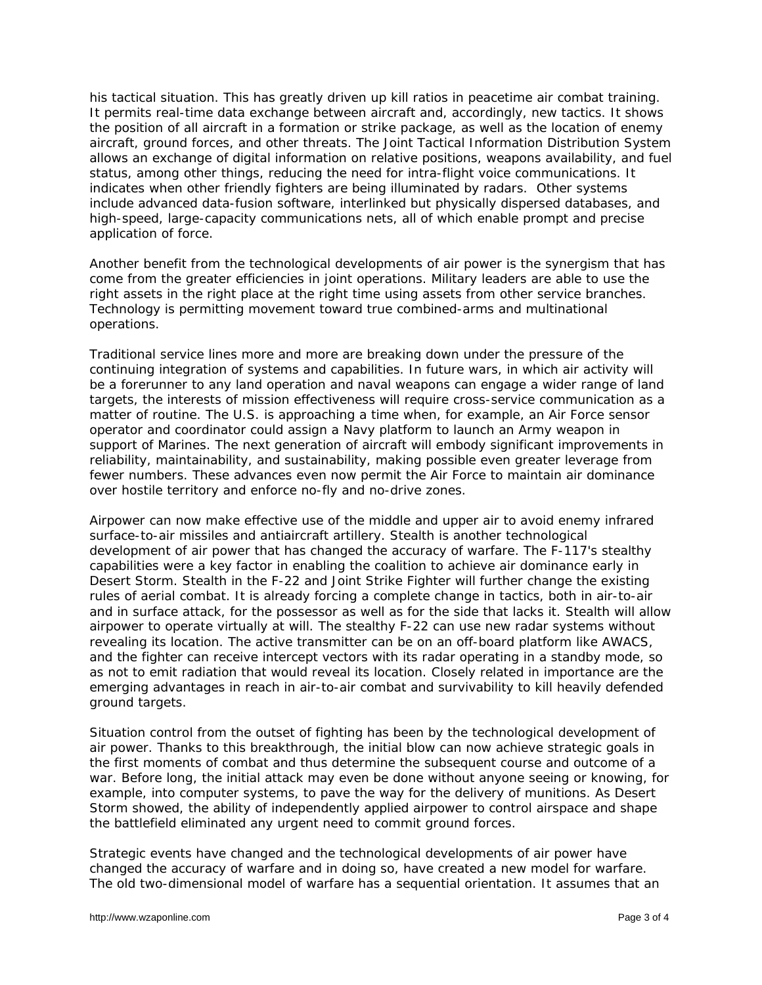his tactical situation. This has greatly driven up kill ratios in peacetime air combat training. It permits real-time data exchange between aircraft and, accordingly, new tactics. It shows the position of all aircraft in a formation or strike package, as well as the location of enemy aircraft, ground forces, and other threats. The Joint Tactical Information Distribution System allows an exchange of digital information on relative positions, weapons availability, and fuel status, among other things, reducing the need for intra-flight voice communications. It indicates when other friendly fighters are being illuminated by radars. Other systems include advanced data-fusion software, interlinked but physically dispersed databases, and high-speed, large-capacity communications nets, all of which enable prompt and precise application of force.

Another benefit from the technological developments of air power is the synergism that has come from the greater efficiencies in joint operations. Military leaders are able to use the right assets in the right place at the right time using assets from other service branches. Technology is permitting movement toward true combined-arms and multinational operations.

Traditional service lines more and more are breaking down under the pressure of the continuing integration of systems and capabilities. In future wars, in which air activity will be a forerunner to any land operation and naval weapons can engage a wider range of land targets, the interests of mission effectiveness will require cross-service communication as a matter of routine. The U.S. is approaching a time when, for example, an Air Force sensor operator and coordinator could assign a Navy platform to launch an Army weapon in support of Marines. The next generation of aircraft will embody significant improvements in reliability, maintainability, and sustainability, making possible even greater leverage from fewer numbers. These advances even now permit the Air Force to maintain air dominance over hostile territory and enforce no-fly and no-drive zones.

Airpower can now make effective use of the middle and upper air to avoid enemy infrared surface-to-air missiles and antiaircraft artillery. Stealth is another technological development of air power that has changed the accuracy of warfare. The F-117's stealthy capabilities were a key factor in enabling the coalition to achieve air dominance early in Desert Storm. Stealth in the F-22 and Joint Strike Fighter will further change the existing rules of aerial combat. It is already forcing a complete change in tactics, both in air-to-air and in surface attack, for the possessor as well as for the side that lacks it. Stealth will allow airpower to operate virtually at will. The stealthy F-22 can use new radar systems without revealing its location. The active transmitter can be on an off-board platform like AWACS, and the fighter can receive intercept vectors with its radar operating in a standby mode, so as not to emit radiation that would reveal its location. Closely related in importance are the emerging advantages in reach in air-to-air combat and survivability to kill heavily defended ground targets.

Situation control from the outset of fighting has been by the technological development of air power. Thanks to this breakthrough, the initial blow can now achieve strategic goals in the first moments of combat and thus determine the subsequent course and outcome of a war. Before long, the initial attack may even be done without anyone seeing or knowing, for example, into computer systems, to pave the way for the delivery of munitions. As Desert Storm showed, the ability of independently applied airpower to control airspace and shape the battlefield eliminated any urgent need to commit ground forces.

Strategic events have changed and the technological developments of air power have changed the accuracy of warfare and in doing so, have created a new model for warfare. The old two-dimensional model of warfare has a sequential orientation. It assumes that an